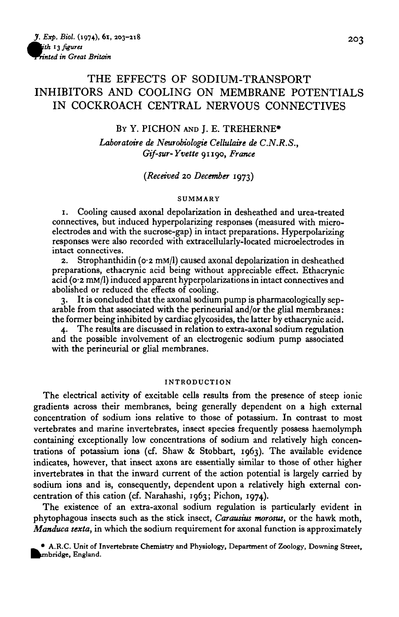# THE EFFECTS OF SODIUM-TRANSPORT INHIBITORS AND COOLING ON MEMBRANE POTENTIALS IN COCKROACH CENTRAL NERVOUS CONNECTIVES

## BY Y. PICHON AND I. E. TREHERNE<sup>\*</sup>

*Laboratoire de Neurobiologie Celkilaire de C.N.R.S., Gif-sw-Yvette* 91190, *France*

*(Received* 20 *December* 1973)

#### **SUMMARY**

1. Cooling caused axonal depolarization in desheathed and urea-treated electrodes and with the sucrose-gap) in intact preparations. Hyperpolarizing responses were also recorded with extracellularly-located microelectrodes in intact connectives.

2. Strophanthidin ( $o \cdot 2$  mM/l) caused axonal depolarization in desheathed preparations, ethacrynic acid being without appreciable effect. Ethacrynic acid (0-2 mM/1) induced apparent hyperpolarizations in intact connectives and abolished or reduced the effects of cooling.

3. It is concluded that the axonal sodium pump is pharmacologically sep- arable from that associated with the perineurial and/or the glial membranes: the former being inhibited by cardiac glycosides, the latter by ethacrynic acid.

4. The results are discussed in relation to extra-axonal sodium regulation and the possible involvement of an electrogenic sodium pump associated with the perineurial or glial membranes.

#### **INTRODUCTION**

The electrical activity of excitable cells results from the presence of steep ionic gradients across their membranes, being generally dependent on a high external concentration of sodium ions relative to those of potassium. In contrast to most vertebrates and marine invertebrates, insect species frequently possess haemolymph containing exceptionally low concentrations of sodium and relatively high concentrations of potassium ions (cf. Shaw & Stobbart, 1963). The available evidence indicates, however, that insect axons are essentially similar to those of other higher invertebrates in that the inward current of the action potential is largely carried by sodium ions and is, consequently, dependent upon a relatively high external concentration of this cation (cf. Narahashi, 1963; Pichon, 1074).

The existence of an extra-axonal sodium regulation is particularly evident in phytophagous insects such as the stick insect, *Carausius morosus,* or the hawk moth, *Manduca sexta,* in which the sodium requirement for axonal function is approximately

**• A.R.C. Unit of Invertebrate Chemistry and Physiology, Department of Zoology, Downing Street,** mbridge, England.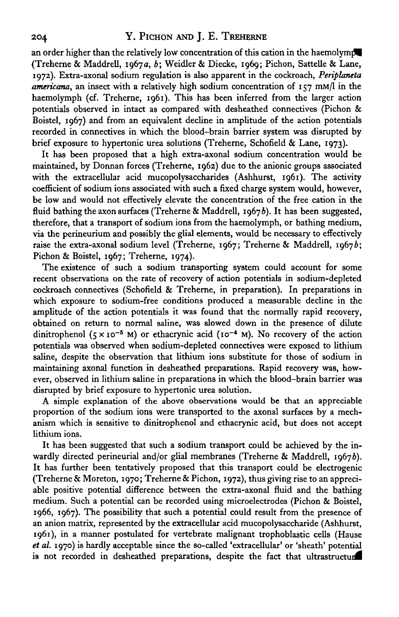an order higher than the relatively low concentration of this cation in the haemolympe (Treherne & Maddrell, 1967 a, *b;* Weidler & Diecke, 1969; Pichon, Sattelle & Lane, 1972). Extra-axonal sodium regulation is also apparent in the cockroach, *Periplaneta americana,* an insect with a relatively high sodium concentration of 157 mM/1 in the haemolymph (cf. Treherne, 1961). This has been inferred from the larger action potentials observed in intact as compared with desheathed connectives (Pichon & Boistel, 1967) and from an equivalent decline in amplitude of the action potentials recorded in connectives in which the blood-brain barrier system was disrupted by brief exposure to hypertonic urea solutions (Treherne, Schofield & Lane, 1973).

It has been proposed that a high extra-axonal sodium concentration would be maintained, by Donnan forces (Treherne, 1962) due to the anionic groups associated with the extracellular acid mucopolysaccharides (Ashhurst, 1961). The activity coefficient of sodium ions associated with such a fixed charge system would, however, be low and would not effectively elevate the concentration of the free cation in the fluid bathing the axon surfaces (Treherne & Maddrell,  $1967b$ ). It has been suggested, therefore, that a transport of sodium ions from the haemolymph, or bathing medium, via the perineurium and possibly the glial elements, would be necessary to effectively raise the extra-axonal sodium level (Treherne, 1967; Treherne & Maddrell, 19676; Pichon & Boistel, 1967; Treherne, 1974).

The existence of such a sodium transporting system could account for some recent observations on the rate of recovery of action potentials in sodium-depleted cockroach connectives (Schofield & Treherne, in preparation). In preparations in which exposure to sodium-free conditions produced a measurable decline in the amplitude of the action potentials it was found that the normally rapid recovery, obtained on return to normal saline, was slowed down in the presence of dilute dinitrophenol  $(5 \times 10^{-5}$  M) or ethacrynic acid ( $10^{-4}$  M). No recovery of the action potentials was observed when sodium-depleted connectives were exposed to lithium saline, despite the observation that lithium ions substitute for those of sodium in maintaining axonal function in desheathed preparations. Rapid recovery was, however, observed in lithium saline in preparations in which the blood-brain barrier was disrupted by brief exposure to hypertonic urea solution.

A simple explanation of the above observations would be that an appreciable proportion of the sodium ions were transported to the axonal surfaces by a mechanism which is sensitive to dinitrophenol and ethacrynic acid, but does not accept lithium ions.

It has been suggested that such a sodium transport could be achieved by the inwardly directed perineurial and/or glial membranes (Treherne & Maddrell, 1967b). It has further been tentatively proposed that this transport could be electrogenic (Treherne & Moreton, 1970; Treherne & Pichon, 1972), thus giving rise to an appreciable positive potential difference between the extra-axonal fluid and the bathing medium. Such a potential can be recorded using microelectrodes (Pichon & Boistel, 1966, 1967). The possibility that such a potential could result from the presence of an anion matrix, represented by the extracellular acid mucopolysaccharide (Ashhurst, 1961), in a manner postulated for vertebrate malignant trophoblastic cells (Hause *el al.* 1970) is hardly acceptable since the so-called 'extracellular' or 'sheath' potential is not recorded in desheathed preparations, despite the fact that ultrastructui^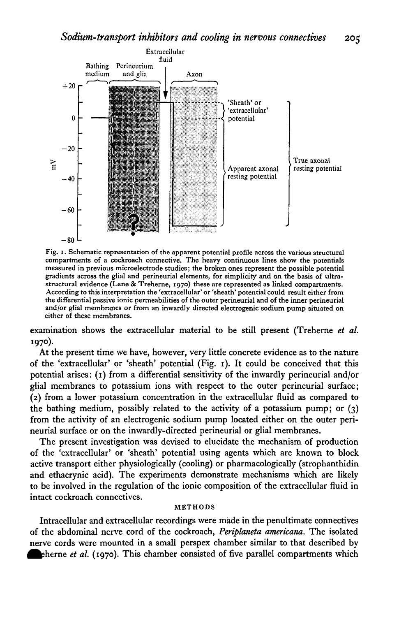

Fig. 1. Schematic representation of the apparent potential profile across the various structural compartments of a cockroach connective. The heavy continuous lines show the potentials measured in previous microelectrode studies; the broken ones represent the possible potential gradients across the glial and perineurial elements, for simplicity and on the basis of ultrastructural evidence (Lane & Treherne, 1970) these are represented as linked compartments.<br>According to this interpretation the 'extracellular' or 'sheath' potential could result either from<br>the differential passive ionic p and/or glial membranes or from an inwardly directed electrogenic sodium pump situated on either of these membranes.

examination shows the extracellular material to be still present (Treherne *et al.* 1970).

At the present time we have, however, very little concrete evidence as to the nature of the 'extracellular' or 'sheath' potential (Fig. 1). It could be conceived that this potential arises: (1) from a differential sensitivity of the inwardly perineurial and/or glial membranes to potassium ions with respect to the outer perineurial surface; (2) from a lower potassium concentration in the extracellular fluid as compared to the bathing medium, possibly related to the activity of a potassium pump; or (3) from the activity of an electrogenic sodium pump located either on the outer perineurial surface or on the inwardly-directed perineurial or glial membranes.

The present investigation was devised to elucidate the mechanism of production of the 'extracellular' or 'sheath' potential using agents which are known to block active transport either physiologically (cooling) or pharmacologically (strophanthidin and ethacrynic acid). The experiments demonstrate mechanisms which are likely to be involved in the regulation of the ionic composition of the extracellular fluid in intact cockroach connectives.

#### METHODS

Intracellular and extracellular recordings were made in the penultimate connectives of the abdominal nerve cord of the cockroach, *Periplaneta americana.* The isolated nerve cords were mounted in a small perspex chamber similar to that described by **Example 1** *et al.* (1970). This chamber consisted of five parallel compartments which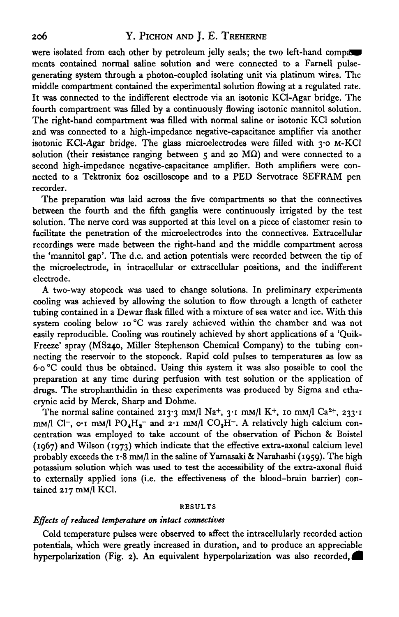were isolated from each other by petroleum jelly seals; the two left-hand compa ments contained normal saline solution and were connected to a Farnell pulsegenerating system through a photon-coupled isolating unit via platinum wires. The middle compartment contained the experimental solution flowing at a regulated rate. It was connected to the indifferent electrode via an isotonic KCl-Agar bridge. The fourth compartment was filled by a continuously flowing isotonic mannitol solution. The right-hand compartment was filled with normal saline or isotonic KC1 solution and was connected to a high-impedance negative-capacitance amplifier via another isotonic KCl-Agar bridge. The glass microelectrodes were filled with 3-0 M-KC1 solution (their resistance ranging between  $\varsigma$  and 20 M $\Omega$ ) and were connected to a second high-impedance negative-capacitance amplifier. Both amplifiers were connected to a Tektronix 602 oscilloscope and to a PED Servotrace SEFRAM pen recorder.

The preparation was laid across the five compartments so that the connectives between the fourth and the fifth ganglia were continuously irrigated by the test solution. The nerve cord was supported at this level on a piece of elastomer resin to facilitate the penetration of the microelectrodes into the connectives. Extracellular recordings were made between the right-hand and the middle compartment across the 'mannitol gap'. The d.c. and action potentials were recorded between the tip of the microelectrode, in intracellular or extracellular positions, and the indifferent electrode.

A two-way stopcock was used to change solutions. In preliminary experiments cooling was achieved by allowing the solution to flow through a length of catheter tubing contained in a Dewar flask filled with a mixture of sea water and ice. With this system cooling below 10 °C was rarely achieved within the chamber and was not easily reproducible. Cooling was routinely achieved by short applications of a 'Quik-Freeze' spray (MS240, Miller Stephenson Chemical Company) to the tubing connecting the reservoir to the stopcock. Rapid cold pulses to temperatures as low as 6-o °C could thus be obtained. Using this system it was also possible to cool the preparation at any time during perfusion with test solution or the application of drugs. The strophanthidin in these experiments was produced by Sigma and ethacrynic acid by Merck, Sharp and Dohme.

The normal saline contained 213.3 mm/l Na+, 3.1 mm/l K+, 10 mm/l Ca<sup>2+</sup>, 233.1 mM/l Cl<sup>-</sup>, o-1 mM/l PO<sub>4</sub>H<sub>2</sub><sup>-</sup> and 2-1 mM/l CO<sub>3</sub>H<sup>-</sup>. A relatively high calcium concentration was employed to take account of the observation of Pichon & Boistel (1967) and Wilson (1973) which indicate that the effective extra-axonal calcium level probably exceeds the 1.8 mm/l in the saline of Yamasaki & Narahashi (1959). The high potassium solution which was used to test the accessibility of the extra-axonal fluid to externally applied ions (i.e. the effectiveness of the blood-brain barrier) contained 217 mM/1 KC1.

#### **RESULTS**

## *Effects of reduced temperature on intact connectives*

Cold temperature pulses were observed to affect the intracellularly recorded action potentials, which were greatly increased in duration, and to produce an appreciable hyperpolarization (Fig. 2). An equivalent hyperpolarization was also recorded,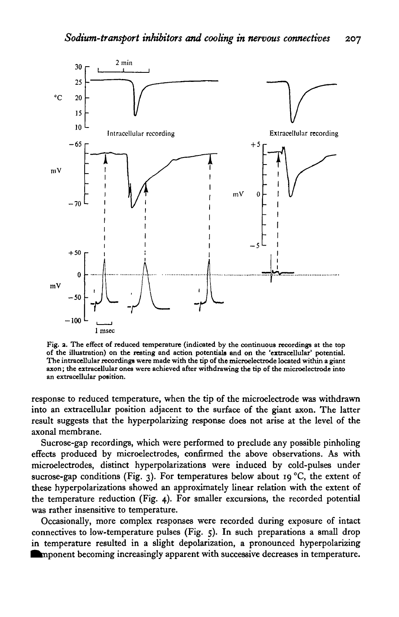

Fig. 2. The effect of reduced temperature (indicated by the continuous recordings at the top of the illustration) on the resting and action potentials and on the 'extracellular' potential. The intracellular recordings were

response to reduced temperature, when the tip of the microelectrode was withdrawn into an extracellular position adjacent to the surface of the giant axon. The latter result suggests that the hyperpolarizing response does not arise at the level of the axonal membrane.

Sucrose-gap recordings, which were performed to preclude any possible pinholing effects produced by microelectrodes, confirmed the above observations. As with microelectrodes, distinct hyperpolarizations were induced by cold-pulses under sucrose-gap conditions (Fig. 3). For temperatures below about 19 °C, the extent of these hyperpolarizations showed an approximately linear relation with the extent of the temperature reduction (Fig. 4). For smaller excursions, the recorded potential was rather insensitive to temperature.

Occasionally, more complex responses were recorded during exposure of intact connectives to low-temperature pulses (Fig. 5). In such preparations a small drop in temperature resulted in a slight depolarization, a pronounced hyperpolarizing **in** mponent becoming increasingly apparent with successive decreases in temperature.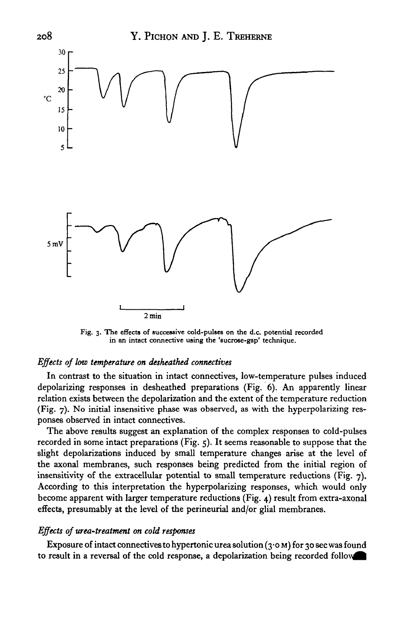

Fig. 3. The effects of successive cold-pulses on the d.c. potential recorded in an intact connective using the 'aucrose-gap' technique.

## *Effects of low temperature on desheathed connectives*

In contrast to the situation in intact connectives, low-temperature pulses induced depolarizing responses in desheathed preparations (Fig. 6). An apparently linear relation exists between the depolarization and the extent of the temperature reduction (Fig. 7). No initial insensitive phase was observed, as with the hyperpolarizing responses observed in intact connectives.

The above results suggest an explanation of the complex responses to cold-pulses recorded in some intact preparations (Fig. 5). It seems reasonable to suppose that the slight depolarizations induced by small temperature changes arise at the level of the axonal membranes, such responses being predicted from the initial region of insensitivity of the extracellular potential to small temperature reductions (Fig. 7). According to this interpretation the hyperpolarizing responses, which would only become apparent with larger temperature reductions (Fig. 4) result from extra-axonal effects, presumably at the level of the perineurial and/or glial membranes.

### *Effects of urea-treatment on cold responses*

Exposure of intact connectives to hypertonic urea solution  $(3.0 M)$  for 30 sec was found to result in a reversal of the cold response, a depolarization being recorded follow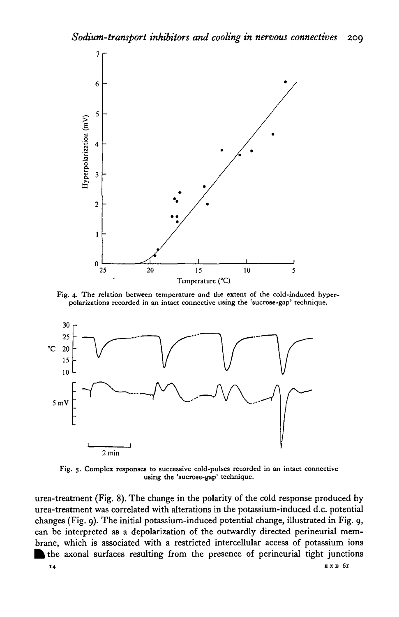

Fig. 4. The relation between temperature and the extent of the cold-induced hyperpolarizations recorded in an intact connective using the 'sucrose-gap' technique.



Fig. 5. Complex responses to successive cold-pulses recorded in an intact connective using the 'sucrose-gap' technique.

urea-treatment (Fig. 8). The change in the polarity of the cold response produced by urea-treatment was correlated with alterations in the potassium-induced d.c. potential changes (Fig. 9). The initial potassium-induced potential change, illustrated in Fig. 9, can be interpreted as a depolarization of the outwardly directed perineurial membrane, which is associated with a restricted intercellular access of potassium ions the axonal surfaces resulting from the presence of perineurial tight junctions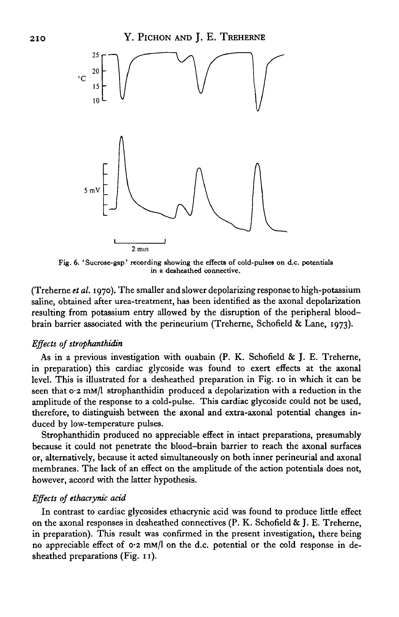

**Fig. 6. ' Sucroae-gap' recording showing the effects of cold-pulses on d.c. potentials in a desheathed connective.**

(Treherne *et al.* 1970). The smaller and slower depolarizing response to high-potassium saline, obtained after urea-treatment, has been identified as the axonal depolarization resulting from potassium entry allowed by the disruption of the peripheral bloodbrain barrier associated with the perineurium (Treherne, Schofield & Lane, 1973).

## *Effects of strophanthidin*

As in a previous investigation with ouabain (P. K. Schofield & J. E. Treherne, in preparation) this cardiac glycoside was found to exert effects at the axonal level. This is illustrated for a desheathed preparation in Fig. 10 in which it can be seen that  $o \cdot 2$  mm/l strophanthidin produced a depolarization with a reduction in the amplitude of the response to a cold-pulse. This cardiac glycoside could not be used, therefore, to distinguish between the axonal and extra-axonal potential changes induced by low-temperature pulses.

Strophanthidin produced no appreciable effect in intact preparations, presumably because it could not penetrate the blood-brain barrier to reach the axonal surfaces or, alternatively, because it acted simultaneously on both inner perineurial and axonal membranes. The lack of an effect on the amplitude of the action potentials does not, however, accord with the latter hypothesis.

## *Effects of ethacrynic acid*

In contrast to cardiac glycosides ethacrynic acid was found to produce little effect on the axonal responses in desheathed connectives (P. K. Schofield & J. E. Treherne, in preparation). This result was confirmed in the present investigation, there being no appreciable effect of  $\circ$ 2 mM/l on the d.c. potential or the cold response in desheathed preparations (Fig. 11).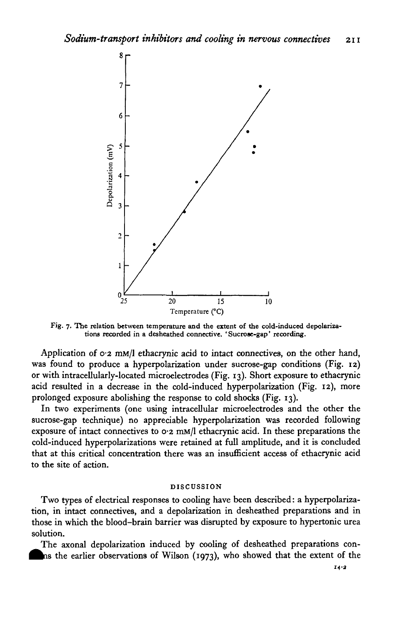

Fig. 7. The relation between temperature and the extent of the cold-induced depolariza**tions recorded in a desheathed connective. ' Sucroae-gap' recording.**

Application of 0.2 mM/l ethacrynic acid to intact connectives, on the other hand, was found to produce a hyperpolarization under sucrose-gap conditions (Fig. 12) or with intracellularly-located microelectrodes (Fig. 13). Short exposure to ethacrynic acid resulted in a decrease in the cold-induced hyperpolarization (Fig. 12), more prolonged exposure abolishing the response to cold shocks (Fig. 13).

In two experiments (one using intracellular microelectrodes and the other the sucrose-gap technique) no appreciable hyperpolarization was recorded following exposure of intact connectives to 0-2 mM/1 ethacrynic acid. In these preparations the cold-induced hyperpolarizations were retained at full amplitude, and it is concluded that at this critical concentration there was an insufficient access of ethacrynic acid to the site of action.

#### **DISCUSSION**

Two types of electrical responses to cooling have been described: a hyperpolarization, in intact connectives, and a depolarization in desheathed preparations and in those in which the blood-brain barrier was disrupted by exposure to hypertonic urea solution.

The axonal depolarization induced by cooling of desheathed preparations conhas the earlier observations of Wilson (1973), who showed that the extent of the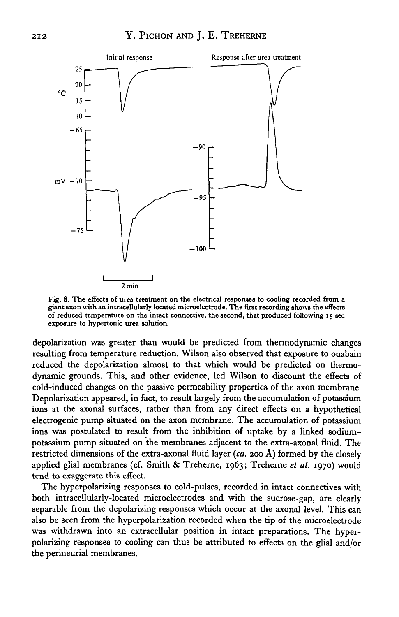

**Fig. 8. The effects of urea treatment on the electrical responses to cooling recorded from a giant axon with an intracellularly located microelectrode. The first recording shows the effects of reduced temperature on the intact connective, the second, that produced following 15 sec exposure to hypertonic urea solution.**

depolarization was greater than would be predicted from thermodynamic changes resulting from temperature reduction. Wilson also observed that exposure to ouabain reduced the depolarization almost to that which would be predicted on thermodynamic grounds. This, and other evidence, led Wilson to discount the effects of cold-induced changes on the passive permeability properties of the axon membrane. Depolarization appeared, in fact, to result largely from the accumulation of potassium ions at the axonal surfaces, rather than from any direct effects on a hypothetical electrogenic pump situated on the axon membrane. The accumulation of potassium ions was postulated to result from the inhibition of uptake by a linked sodiumpotassium pump situated on the membranes adjacent to the extra-axonal fluid. The restricted dimensions of the extra-axonal fluid layer *(ca.* 200 A) formed by the closely applied glial membranes (cf. Smith & Treherne, 1963; Treherne *et al.* 1970) would tend to exaggerate this effect.

The hyperpolarizing responses to cold-pulses, recorded in intact connectives with both intracellularly-located microelectrodes and with the sucrose-gap, are clearly separable from the depolarizing responses which occur at the axonal level. This can also be seen from the hyperpolarization recorded when the tip of the microelectrode was withdrawn into an extracellular position in intact preparations. The hyperpolarizing responses to cooling can thus be attributed to effects on the glial and/or the perineurial membranes.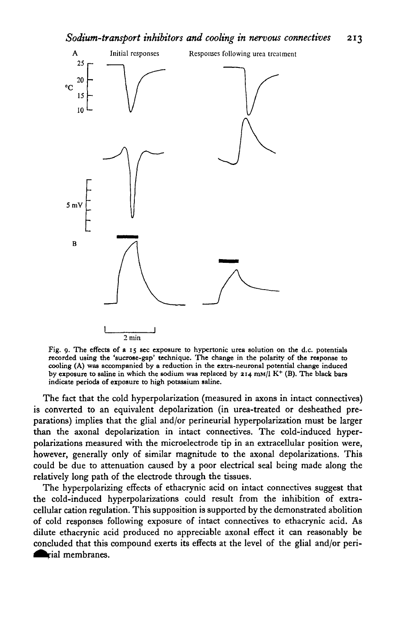

Fig. 9. The effects of a 15 sec exposure to hypertonic urea solution on the d.c. potentials recorded using the 'sucrose-gap' technique. The change in the polarity of the response to cooling (A) was accompanied by a reduction in the extra-neuronal potential change induced by exposure to saline in which the sodium was replaced by 214 mm/l K<sup>+</sup> (B). The black bars indicate periods of exposure to high potassium saline.

The fact that the cold hyperpolarization (measured in axons in intact connectives) is converted to an equivalent depolarization (in urea-treated or desheathed preparations) implies that the glial and/or perineurial hyperpolarization must be larger than the axonal depolarization in intact connectives. The cold-induced hyperpolarizations measured with the microelectrode tip in an extracellular position were, however, generally only of similar magnitude to the axonal depolarizations. This could be due to attenuation caused by a poor electrical seal being made along the relatively long path of the electrode through the tissues.

The hyperpolarizing effects of ethacrynic acid on intact connectives suggest that the cold-induced hyperpolarizations could result from the inhibition of extracellular cation regulation. This supposition is supported by the demonstrated abolition of cold responses following exposure of intact connectives to ethacrynic acid. As dilute ethacrynic acid produced no appreciable axonal effect it can reasonably be concluded that this compound exerts its effects at the level of the glial and/or perimembranes.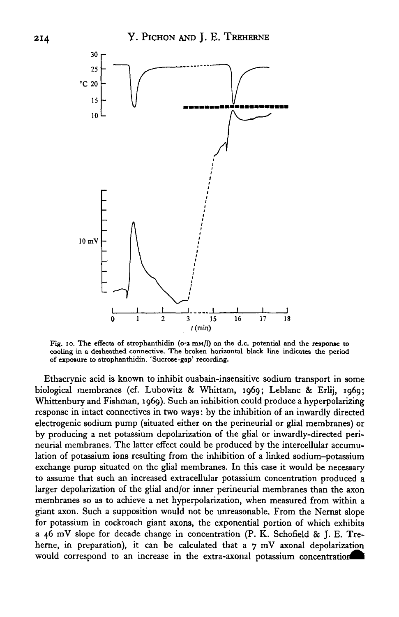

Fig. 10. The effects of strophanthidin ( $\sigma$ -2 mM/l) on the d.c. potential and the response to cooling in a desheathed connective. The broken horizontal black line indicates the period of exposure to strophanthidin. 'Sucrose-gap' recording.

Ethacrynic acid is known to inhibit ouabain-insensitive sodium transport in some biological membranes (cf. Lubowitz & Whittam, 1969; Leblanc & Erlij, 1969; Whittenbury and Fishman, 1969). Such an inhibition could produce a hyperpolarizing response in intact connectives in two ways: by the inhibition of an inwardly directed electrogenic sodium pump (situated either on the perineurial or glial membranes) or by producing a net potassium depolarization of the glial or inwardly-directed perineurial membranes. The latter effect could be produced by the intercellular accumulation of potassium ions resulting from the inhibition of a linked sodium-potassium exchange pump situated on the glial membranes. In this case it would be necessary to assume that such an increased extracellular potassium concentration produced a larger depolarization of the glial and/or inner perineurial membranes than the axon membranes so as to achieve a net hyperpolarization, when measured from within a giant axon. Such a supposition would not be unreasonable. From the Nernst slope for potassium in cockroach giant axons, the exponential portion of which exhibits a 46 mV slope for decade change in concentration (P. K. Schofield & J. E. Treherne, in preparation), it can be calculated that a  $7 \text{ mV}$  axonal depolarization would correspond to an increase in the extra-axonal potassium concentration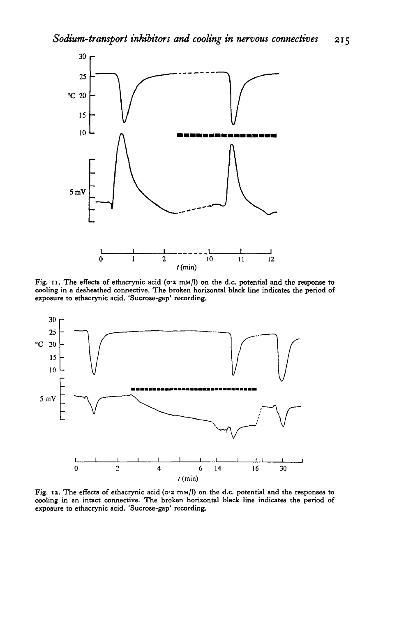

Fig. 11. The effects of ethacrynic acid (o<sup>-2</sup> mM/l) on the d.c. potential and the response to **cooling in a desheathed connective. The broken horizontal black line indicates the period of exposure to ethacrynic acid. 'Sucrose-gap' recording.**



**Fig. 12. The effects of ethacrynic acid (o'2 mM/1) on the d.c. potential and the responses to cooling in an intact connective. The broken horizontal black line indicates the period of exposure to ethacrynic acid. 'Sucrose-gap' recording.**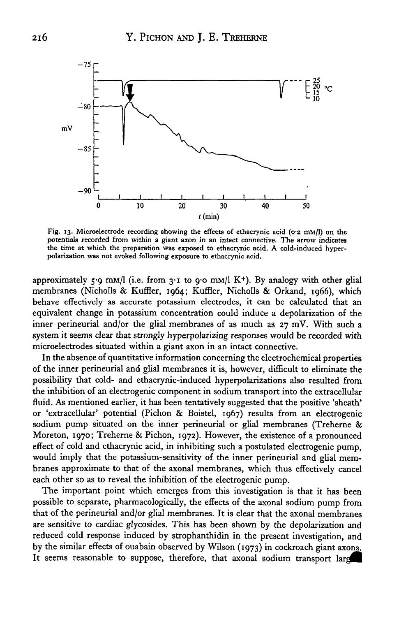

Fig. 13. Microelectrode recording showing the effects of ethacrynic acid (0.2 mm/l) on the potentials recorded from within a giant axon in an intact connective. The arrow indicates the time at which the preparation was exposed to ethacrynic acid. A cold-induced hyperpolarization was not evoked following exposure to ethacrynic acid.

approximately 5.9 mM/l (i.e. from 3.1 to 9.0 mM/l K+). By analogy with other glial membranes (Nicholls & Kuffler, 1964; Kuffler, Nicholls & Orkand, 1966), which behave effectively as accurate potassium electrodes, it can be calculated that an equivalent change in potassium concentration could induce a depolarization of the inner perineurial and/or the glial membranes of as much as 27 mV. With such a system it seems clear that strongly hyperpolarizing responses would be recorded with microelectrodes situated within a giant axon in an intact connective.

In the absence of quantitative information concerning the electrochemical properties of the inner perineurial and glial membranes it is, however, difficult to eliminate the possibility that cold- and ethacrynic-induced hyperpolarizations also resulted from the inhibition of an electrogenic component in sodium transport into the extracellular fluid. As mentioned earlier, it has been tentatively suggested that the positive 'sheath' or 'extracellular' potential (Pichon & Boistel, 1967) results from an electrogenic sodium pump situated on the inner perineurial or glial membranes (Treherne & Moreton, 1970; Treherne & Pichon, 1972). However, the existence of a pronounced effect of cold and ethacrynic acid, in inhibiting such a postulated electrogenic pump, would imply that the potassium-sensitivity of the inner perineurial and glial membranes approximate to that of the axonal membranes, which thus effectively cancel each other so as to reveal the inhibition of the electrogenic pump.

The important point which emerges from this investigation is that it has been possible to separate, pharmacologically, the effects of the axonal sodium pump from that of the perineurial and/or glial membranes. It is clear that the axonal membranes are sensitive to cardiac glycosides. This has been shown by the depolarization and reduced cold response induced by strophanthidin in the present investigation, and by the similar effects of ouabain observed by Wilson (1973) in cockroach giant axons. It seems reasonable to suppose, therefore, that axonal sodium transport large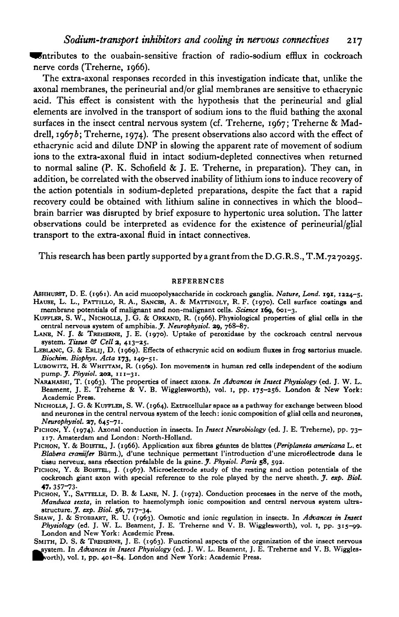**Contributes to the ouabain-sensitive fraction of radio-sodium efflux in cockroach** nerve cords (Treherne, 1966).

The extra-axonal responses recorded in this investigation indicate that, unlike the axonal membranes, the perineurial and/or glial membranes are sensitive to ethacrynic acid. This effect is consistent with the hypothesis that the perineurial and glial elements are involved in the transport of sodium ions to the fluid bathing the axonal surfaces in the insect central nervous system (cf. Treherne, 1967; Treherne & Maddrell, 19676; Treherne, 1974). The present observations also accord with the effect of ethacrynic acid and dilute DNP in slowing the apparent rate of movement of sodium ions to the extra-axonal fluid in intact sodium-depleted connectives when returned to normal saline  $(P. K. Schofled & J. E. Treherne, in preparation).$  They can, in addition, be correlated with the observed inability of lithium ions to induce recovery of the action potentials in sodium-depleted preparations, despite the fact that a rapid recovery could be obtained with lithium saline in connectives in which the bloodbrain barrier was disrupted by brief exposure to hypertonic urea solution. The latter observations could be interpreted as evidence for the existence of perineurial/glial transport to the extra-axonal fluid in intact connectives.

This research has been partly supported by a grant from the D.G.R.S., T.M.72 70295.

#### REFERENCES

- ASHHURST, D. E. (1961). An acid mucopolysaccharide in cockroach ganglia. *Nature, Lond.* **191**, 1224-5.<br>HAUSB, L. L., PATTILLO, R. A., SANCES, A. & MATTINGLY, R. F. (1970). Cell surface coatings and<br>membrane potentials of
- KUFFLER, S. W., NICHOLLS, J. G. & ORKAND, R. (1966). Physiological properties of glial cells in the central nervous system of amphibia. *J. Neurophysiol.* 29, 768–87.
- LANB, N. J. & TREHERNB, J. E. (1970). Uptake of peroxidase by the cockroach central nervous system. Time & Cell 2, 413-25.
- LEBLANC, G. & ERLIJ, D. (1969). Effects of ethacrynic acid on sodium fluxes in frog sartorius muscle.
- Biochim. Biophys. Acta 173, 149-51.<br>LUBOWITZ, H. & WHITTAM, R. (1969). Ion movements in human red cells independent of the sodium<br>pump. J. Physiol. 202, 111-31.<br>NARAHASHI, T. (1963). The properties of insect axons. In Adva
- Beament, J. E. Treherne & V. B. Wigglesworth), vol. 1, pp. 175-256. London & New York:<br>Academic Press. NICHOLLS, J. G. & KUFFLER, S. W. (1964). Extracellular space as a pathway for exchange between blood
- and neurones in the central nervous system of the leech: ionic composition of glial cells and neurones, Neurophysiol.  $27, 645 71$ .
- PICHON, Y. (1974). Axonal conduction in insects. In *Insect Neurobiology* (ed. J. E. Treherne), pp. 73–117. Amsterdam and London: North-Holland.<br>PICHON, Y. & BOISTEL, J. (1966). Application aux fibres géantes de blattes (
- *Blabera craniifer* Bürm.), d'une technique permettant l'introduction d'une microélectrode dans le tissu nerveux, sans résection préalable de la gaine. *J. Physiol. Paris* 58, 592.
- PICHON, Y. & BOISTEL, J. (1967). Microelectrode study of the resting and action potentials of the cockroach giant axon with special reference to the role played by the nerve sheath. *J. exp. Biol.* 47. 357-73-
- PICHON, Y., SATTELLE, D. B. & LANE, N. J. (1972). Conduction processes in the nerve of the moth, *Manduca sexta*, in relation to haemolymph ionic composition and central nervous system ultrastructure. *J. exp. Biol.* 56, 7
- 
- Physiology (ed. J. W. L. Beament, J. E. Treherne and V. B. Wigglesworth), vol. 1, pp. 315-99.<br>London and New York: Academic Press.<br>SMITH, D. S. & TREHERNE, J. E. (1963). Functional aspects of the organization of the insect